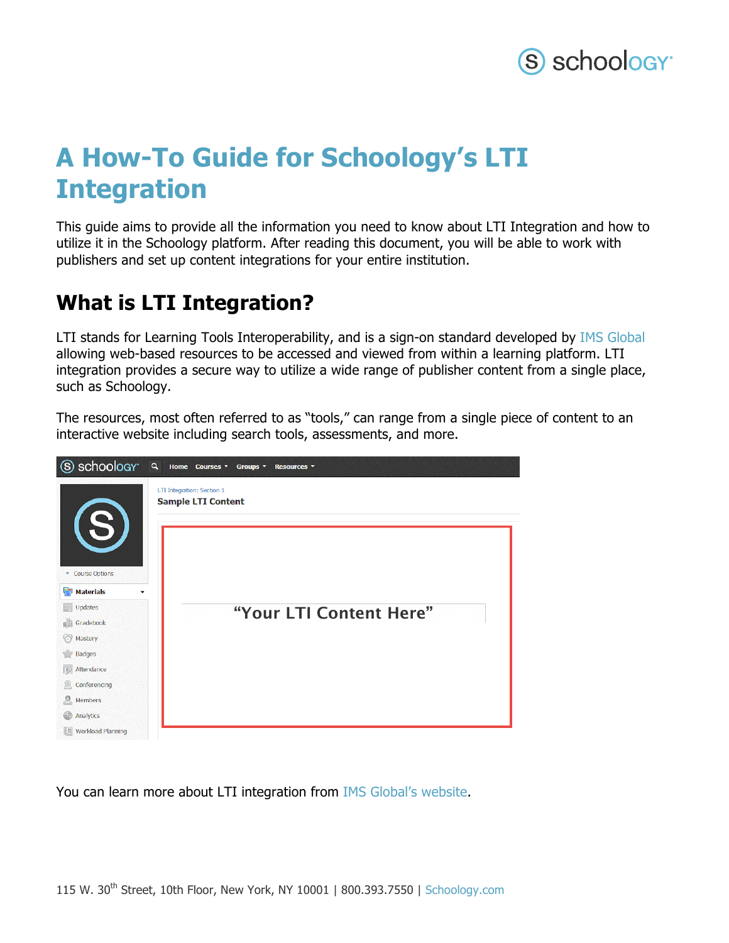

# **A How-To Guide for Schoology's LTI Integration**

This guide aims to provide all the information you need to know about LTI Integration and how to utilize it in the Schoology platform. After reading this document, you will be able to work with publishers and set up content integrations for your entire institution.

### **What is LTI Integration?**

LTI stands for Learning Tools Interoperability, and is a sign-on standard developed by IMS Global allowing web-based resources to be accessed and viewed from within a learning platform. LTI integration provides a secure way to utilize a wide range of publisher content from a single place, such as Schoology.

The resources, most often referred to as "tools," can range from a single piece of content to an interactive website including search tools, assessments, and more.



You can learn more about LTI integration from IMS Global's website.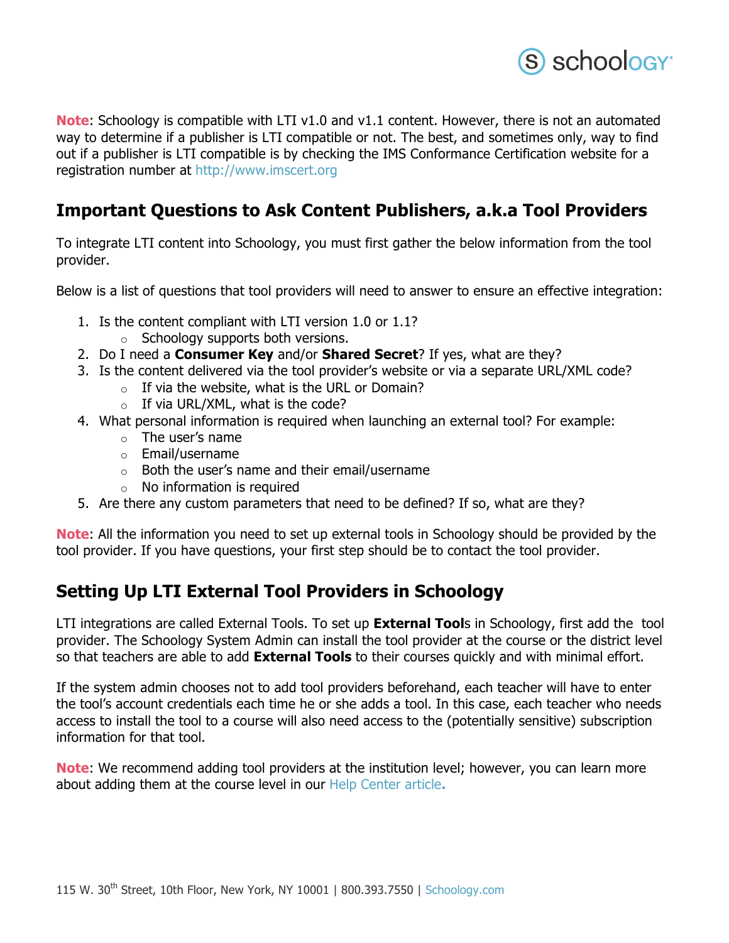

**Note:** Schoology is compatible with LTI v1.0 and v1.1 content. However, there is not an automated way to determine if a publisher is LTI compatible or not. The best, and sometimes only, way to find out if a publisher is LTI compatible is by checking the IMS Conformance Certification website for a registration number at http://www.imscert.org

#### **Important Questions to Ask Content Publishers, a.k.a Tool Providers**

To integrate LTI content into Schoology, you must first gather the below information from the tool provider.

Below is a list of questions that tool providers will need to answer to ensure an effective integration:

- 1. Is the content compliant with LTI version 1.0 or 1.1?
	- $\circ$  Schoology supports both versions.
- 2. Do I need a **Consumer Key** and/or **Shared Secret**? If yes, what are they?
- 3. Is the content delivered via the tool provider's website or via a separate URL/XML code?
	- $\circ$  If via the website, what is the URL or Domain?
		- $\circ$  If via URL/XML, what is the code?
- 4. What personal information is required when launching an external tool? For example:
	- o The user's name
	- o Email/username
	- o Both the user's name and their email/username
	- $\circ$  No information is required
- 5. Are there any custom parameters that need to be defined? If so, what are they?

**Note**: All the information you need to set up external tools in Schoology should be provided by the tool provider. If you have questions, your first step should be to contact the tool provider.

#### **Setting Up LTI External Tool Providers in Schoology**

LTI integrations are called External Tools. To set up **External Tool**s in Schoology, first add the tool provider. The Schoology System Admin can install the tool provider at the course or the district level so that teachers are able to add **External Tools** to their courses quickly and with minimal effort.

If the system admin chooses not to add tool providers beforehand, each teacher will have to enter the tool's account credentials each time he or she adds a tool. In this case, each teacher who needs access to install the tool to a course will also need access to the (potentially sensitive) subscription information for that tool.

**Note**: We recommend adding tool providers at the institution level; however, you can learn more about adding them at the course level in our Help Center article**.**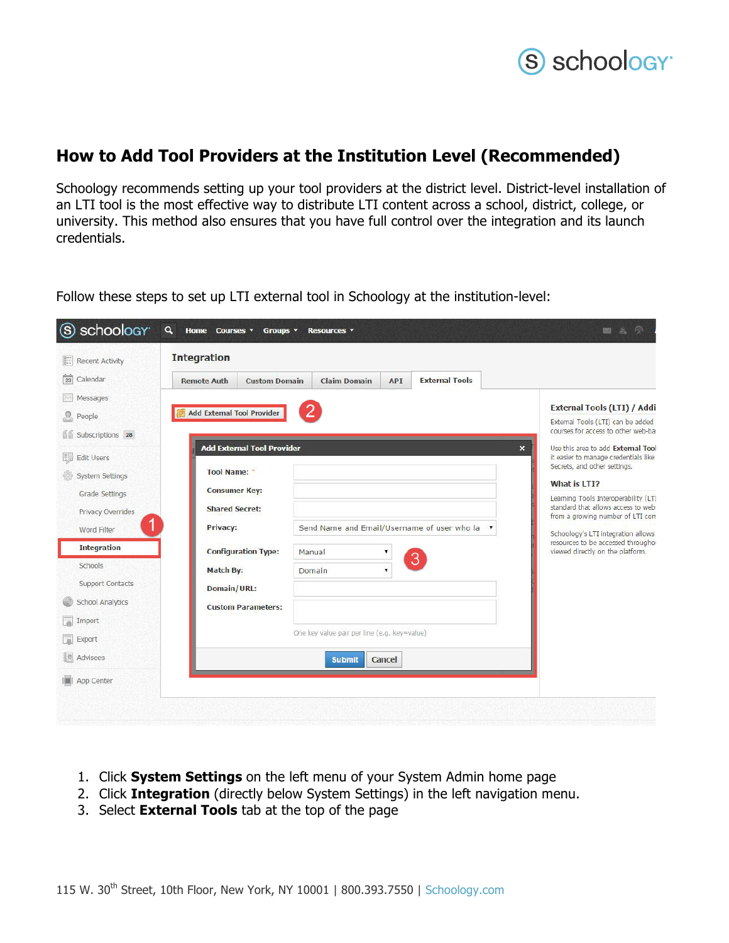

#### **How to Add Tool Providers at the Institution Level (Recommended)**

Schoology recommends setting up your tool providers at the district level. District-level installation of an LTI tool is the most effective way to distribute LTI content across a school, district, college, or university. This method also ensures that you have full control over the integration and its launch credentials.

| <b>Recent Activity</b>     | <b>Integration</b>                |                                                   |                                              |            |                                               |  |                                                                         |  |
|----------------------------|-----------------------------------|---------------------------------------------------|----------------------------------------------|------------|-----------------------------------------------|--|-------------------------------------------------------------------------|--|
| $\frac{1}{23}$<br>Calendar | <b>Remote Auth</b>                | <b>Custom Domain</b>                              | <b>Claim Domain</b>                          | <b>API</b> | <b>External Tools</b>                         |  |                                                                         |  |
| Messages<br>People         | <b>Add External Tool Provider</b> |                                                   |                                              |            |                                               |  | <b>External Tools (LTI) / Addi</b><br>External Tools (LTI) can be added |  |
| Subscriptions 28           |                                   |                                                   |                                              |            |                                               |  | courses for access to other web-bay                                     |  |
| 嬲<br><b>Edit Users</b>     | <b>Tool Name:</b>                 | <b>Add External Tool Provider</b><br>$\mathsf{x}$ |                                              |            |                                               |  |                                                                         |  |
| <b>System Settings</b>     |                                   |                                                   |                                              |            |                                               |  | What is LTI?                                                            |  |
| Grade Settings             | <b>Consumer Key:</b>              |                                                   |                                              |            |                                               |  | Learning Tools Interoperability (LT)                                    |  |
| Privacy Overrides          | <b>Shared Secret:</b>             |                                                   |                                              |            |                                               |  | standard that allows access to web-<br>from a growing number of LTI com |  |
| Word Filter                | Privacy:                          |                                                   |                                              |            | Send Name and Email/Username of user who la ▼ |  | Schoology's LTI integration allows                                      |  |
| <b>Integration</b>         | <b>Configuration Type:</b>        |                                                   | Manual                                       |            |                                               |  | resources to be accessed throughor<br>viewed directly on the platform.  |  |
| Schools                    | <b>Match By:</b>                  |                                                   | Domain                                       |            | 3                                             |  |                                                                         |  |
| <b>Support Contacts</b>    | Domain/URL:                       |                                                   |                                              |            |                                               |  |                                                                         |  |
| <b>School Analytics</b>    |                                   | <b>Custom Parameters:</b>                         |                                              |            |                                               |  |                                                                         |  |
| Import                     |                                   |                                                   |                                              |            |                                               |  |                                                                         |  |
| $\overline{a}$<br>Export   |                                   |                                                   | One key value pair per line (e.g. key=value) |            |                                               |  |                                                                         |  |
| lo.<br>Advisees            |                                   |                                                   | <b>Submit</b>                                | Cancel     |                                               |  |                                                                         |  |
| App Center                 |                                   |                                                   |                                              |            |                                               |  |                                                                         |  |

Follow these steps to set up LTI external tool in Schoology at the institution-level:

- 1. Click **System Settings** on the left menu of your System Admin home page
- 2. Click **Integration** (directly below System Settings) in the left navigation menu.
- 3. Select **External Tools** tab at the top of the page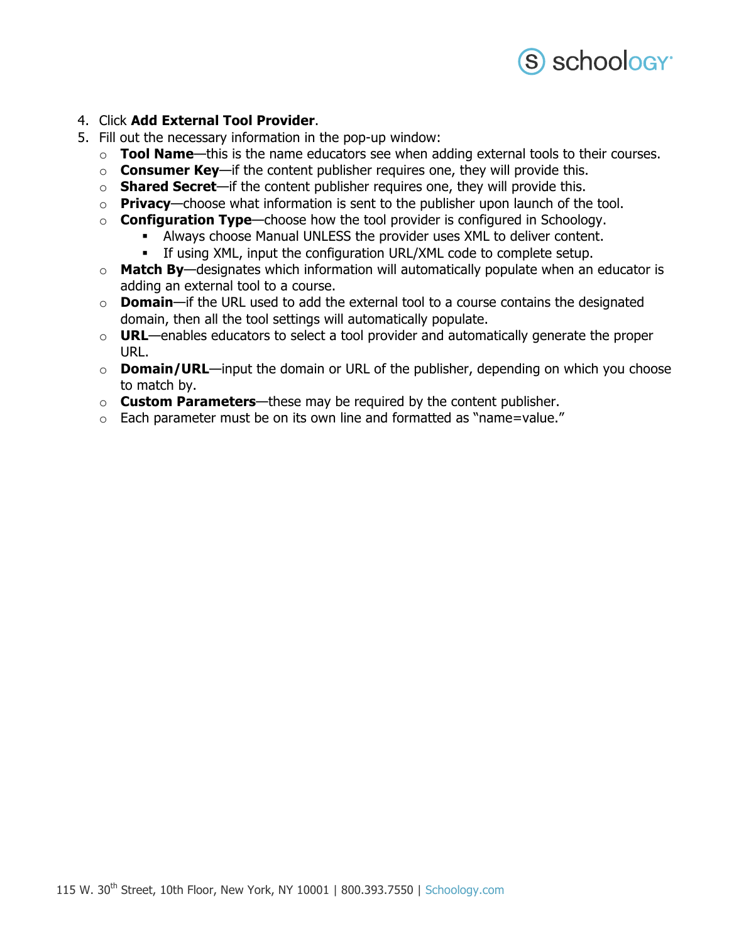

#### 4. Click **Add External Tool Provider**.

- 5. Fill out the necessary information in the pop-up window:
	- o **Tool Name**—this is the name educators see when adding external tools to their courses.
	- o **Consumer Key**—if the content publisher requires one, they will provide this.
	- o **Shared Secret**—if the content publisher requires one, they will provide this.
	- o **Privacy**—choose what information is sent to the publisher upon launch of the tool.
	- o **Configuration Type**—choose how the tool provider is configured in Schoology.
		- Always choose Manual UNLESS the provider uses XML to deliver content.
		- If using XML, input the configuration URL/XML code to complete setup.
	- o **Match By**—designates which information will automatically populate when an educator is adding an external tool to a course.
	- o **Domain**—if the URL used to add the external tool to a course contains the designated domain, then all the tool settings will automatically populate.
	- o **URL**—enables educators to select a tool provider and automatically generate the proper URL.
	- o **Domain/URL**—input the domain or URL of the publisher, depending on which you choose to match by.
	- o **Custom Parameters**—these may be required by the content publisher.
	- o Each parameter must be on its own line and formatted as "name=value."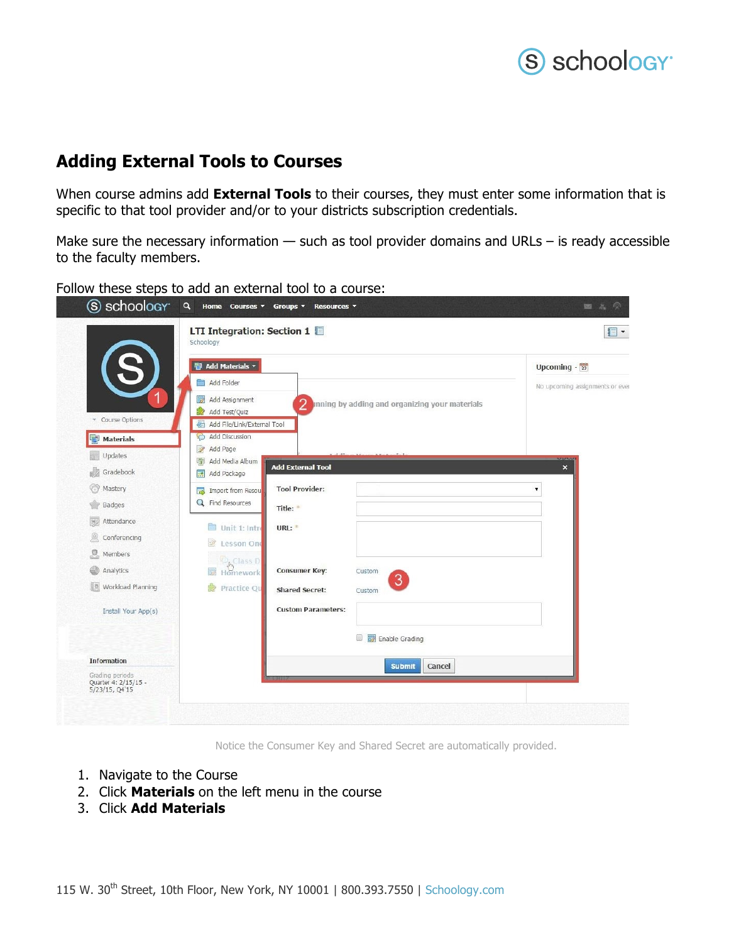## S schoology<sup>®</sup>

### **Adding External Tools to Courses**

When course admins add **External Tools** to their courses, they must enter some information that is specific to that tool provider and/or to your districts subscription credentials.

Make sure the necessary information  $-$  such as tool provider domains and URLs  $-$  is ready accessible to the faculty members.

Follow these steps to add an external tool to a course:

|                                                              | LTI Integration: Section 1<br>Schoology       |                           |                                                  | $\Box$                          |
|--------------------------------------------------------------|-----------------------------------------------|---------------------------|--------------------------------------------------|---------------------------------|
|                                                              | <sup>图</sup> Add Materials <b>v</b>           |                           |                                                  | Upcoming $-\frac{1}{23}$        |
|                                                              | Add Folder                                    |                           |                                                  | No upcoming assignments or ever |
|                                                              | Add Assignment                                |                           | 2 Inning by adding and organizing your materials |                                 |
| Course Options                                               | Add Test/Quiz                                 |                           |                                                  |                                 |
|                                                              | Add File/Link/External Tool<br>Add Discussion |                           |                                                  |                                 |
| <b>Materials</b>                                             | $\mathcal{L}$<br>Add Page                     |                           |                                                  |                                 |
| Updates                                                      | Add Media Album<br>閘                          | <b>Add External Tool</b>  |                                                  | <b>MARKAM</b><br>$\mathbf{x}$   |
| Gradebook                                                    | Add Package<br>露                              |                           |                                                  |                                 |
| Mastery                                                      | Import from Resou<br><b>Tark</b>              | <b>Tool Provider:</b>     |                                                  |                                 |
| Badges                                                       | <b>Q</b> Find Resources                       | Title:                    |                                                  |                                 |
| Attendance<br>亚                                              | Unit 1: Intre                                 | URL:                      |                                                  |                                 |
| Conferencing                                                 | $\mathbb{Z}^2$<br>Lesson One                  |                           |                                                  |                                 |
| 2<br>Members                                                 |                                               |                           |                                                  |                                 |
| Analytics                                                    | <b>D</b> <sub>Class</sub> D<br>Homework       | <b>Consumer Key:</b>      | Custom                                           |                                 |
| Workload Planning                                            | Practice Qu                                   | <b>Shared Secret:</b>     | $\boxed{3}$<br>Custom                            |                                 |
| Install Your App(s)                                          |                                               | <b>Custom Parameters:</b> |                                                  |                                 |
|                                                              |                                               |                           | Enable Grading                                   |                                 |
| <b>Information</b>                                           |                                               |                           | Cancel<br><b>Submit</b>                          |                                 |
| Grading periods<br>Quarter 4: 2/15/15 -<br>$5/23/15$ , Q4'15 |                                               |                           |                                                  |                                 |

Notice the Consumer Key and Shared Secret are automatically provided.

- 1. Navigate to the Course
- 2. Click **Materials** on the left menu in the course
- 3. Click **Add Materials**